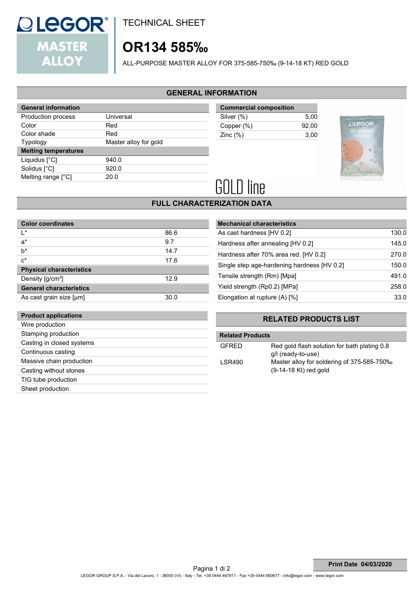

**Product applications**

TECHNICAL SHEET

# **OR134 585‰**

ALL-PURPOSE MASTER ALLOY FOR 375-585-750‰ (9-14-18 KT) RED GOLD

# **GENERAL INFORMATION**

| <b>General information</b>  |                       |  |
|-----------------------------|-----------------------|--|
| Production process          | Universal             |  |
| Color                       | Red                   |  |
| Color shade                 | Red                   |  |
| <b>Typology</b>             | Master alloy for gold |  |
|                             |                       |  |
| <b>Melting temperatures</b> |                       |  |
| Liquidus $[^{\circ}C]$      | 940.0                 |  |
| Solidus [°C]                | 920.0                 |  |
| Melting range [°C]          | 20.0                  |  |

| <b>Commercial composition</b> |       |  |
|-------------------------------|-------|--|
| Silver (%)                    | 5.00  |  |
| Copper (%)                    | 92.00 |  |
| Zinc $(\%)$                   | 3.00  |  |



# **GOLD line**

# **FULL CHARACTERIZATION DATA**

| <b>Color coordinates</b>        |      |
|---------------------------------|------|
| ı∗                              | 86.6 |
| $a^*$                           | 9.7  |
| $b^*$                           | 14.7 |
| $c^*$                           | 17.6 |
| <b>Physical characteristics</b> |      |
| Density [g/cm <sup>3</sup> ]    | 12.9 |
| <b>General characteristics</b>  |      |
| As cast grain size [µm]         | 30.0 |

| <b>Mechanical characteristics</b>           |       |
|---------------------------------------------|-------|
| As cast hardness [HV 0.2]                   | 130.0 |
| Hardness after annealing [HV 0.2]           | 145.0 |
| Hardness after 70% area red. [HV 0.2]       | 270.0 |
| Single step age-hardening hardness [HV 0.2] | 150.0 |
| Tensile strength (Rm) [Mpa]                 | 491.0 |
| Yield strength (Rp0.2) [MPa]                | 258.0 |
| Elongation at rupture (A) [%]               | 33.0  |

# **RELATED PRODUCTS LIST**

| Wire production           |                         |                                              |  |
|---------------------------|-------------------------|----------------------------------------------|--|
| Stamping production       | <b>Related Products</b> |                                              |  |
| Casting in closed systems | <b>GFRED</b>            | Red gold flash solution for bath plating 0.8 |  |
| Continuous casting        |                         | g/l (ready-to-use)                           |  |
| Massive chain production  | <b>LSR490</b>           | Master alloy for soldering of 375-585-750‰   |  |
| Casting without stones    |                         | $(9-14-18$ Kt) red gold                      |  |
| TIG tube production       |                         |                                              |  |
| Sheet production          |                         |                                              |  |
|                           |                         |                                              |  |